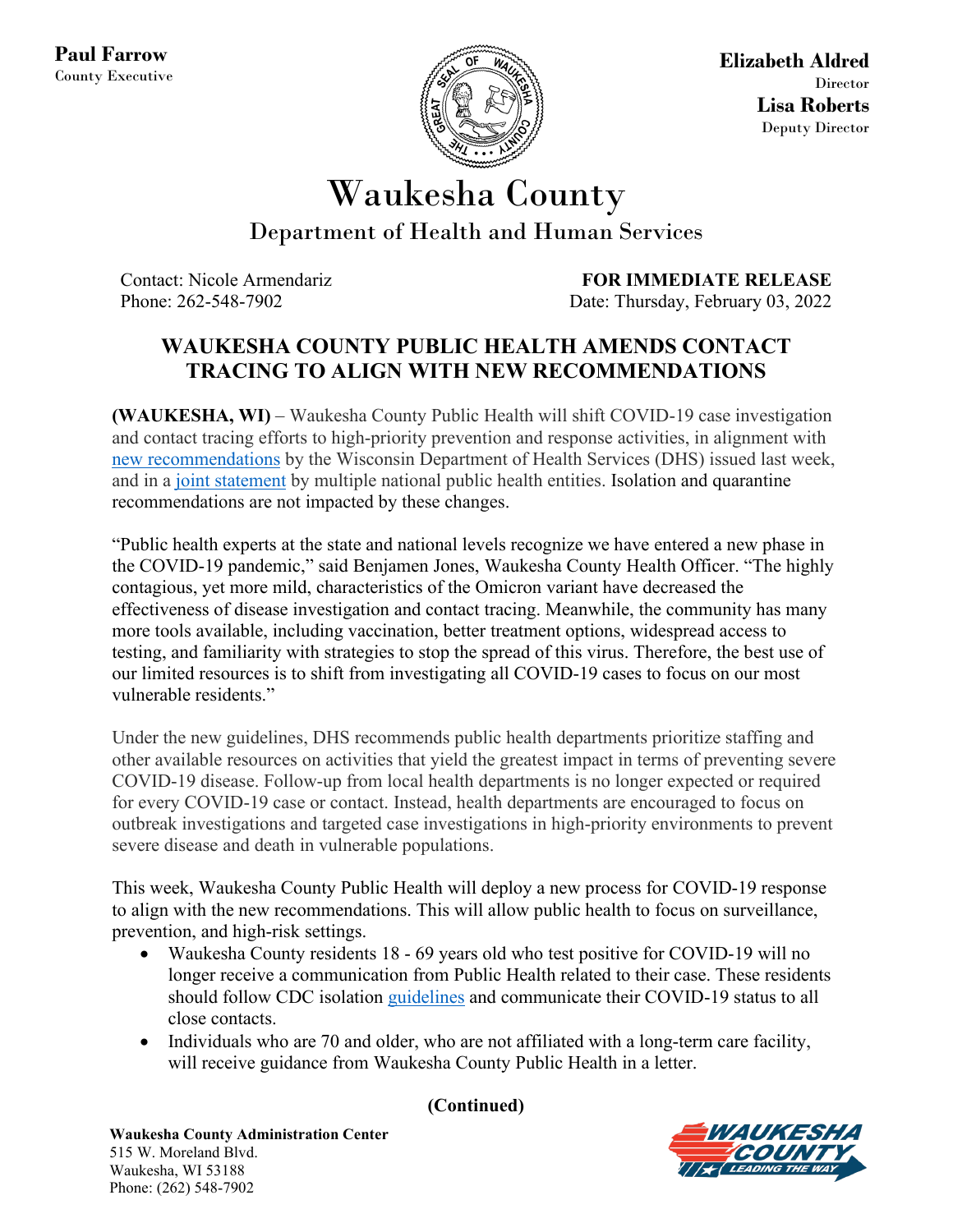

**Elizabeth Aldred Director Lisa Roberts** Deputy Director

## Waukesha County Department of Health and Human Services

Contact: Nicole Armendariz Phone: 262-548-7902

**FOR IMMEDIATE RELEASE** Date: Thursday, February 03, 2022

## **WAUKESHA COUNTY PUBLIC HEALTH AMENDS CONTACT TRACING TO ALIGN WITH NEW RECOMMENDATIONS**

**(WAUKESHA, WI)** – Waukesha County Public Health will shift COVID-19 case investigation and contact tracing efforts to high-priority prevention and response activities, in alignment with [new recommendations](https://www.dhs.wisconsin.gov/dph/memos/communicable-diseases/2022-01.pdf) by the Wisconsin Department of Health Services (DHS) issued last week, and in a [joint statement](https://preparedness.cste.org/wp-content/uploads/2022/01/CICT_Partner_Statement_01_24_2022.pdf) by multiple national public health entities. Isolation and quarantine recommendations are not impacted by these changes.

"Public health experts at the state and national levels recognize we have entered a new phase in the COVID-19 pandemic," said Benjamen Jones, Waukesha County Health Officer. "The highly contagious, yet more mild, characteristics of the Omicron variant have decreased the effectiveness of disease investigation and contact tracing. Meanwhile, the community has many more tools available, including vaccination, better treatment options, widespread access to testing, and familiarity with strategies to stop the spread of this virus. Therefore, the best use of our limited resources is to shift from investigating all COVID-19 cases to focus on our most vulnerable residents."

Under the new guidelines, DHS recommends public health departments prioritize staffing and other available resources on activities that yield the greatest impact in terms of preventing severe COVID-19 disease. Follow-up from local health departments is no longer expected or required for every COVID-19 case or contact. Instead, health departments are encouraged to focus on outbreak investigations and targeted case investigations in high-priority environments to prevent severe disease and death in vulnerable populations.

This week, Waukesha County Public Health will deploy a new process for COVID-19 response to align with the new recommendations. This will allow public health to focus on surveillance, prevention, and high-risk settings.

- Waukesha County residents 18 69 years old who test positive for COVID-19 will no longer receive a communication from Public Health related to their case. These residents should follow [CDC isolation guidelines](https://www.cdc.gov/coronavirus/2019-ncov/your-health/quarantine-isolation.html) and communicate their COVID-19 status to all close contacts.
- Individuals who are 70 and older, who are not affiliated with a long-term care facility, will receive guidance from Waukesha County Public Health in a letter.

**(Continued)** 



**Waukesha County Administration Center**  515 W. Moreland Blvd. Waukesha, WI 53188 Phone: (262) 548-7902